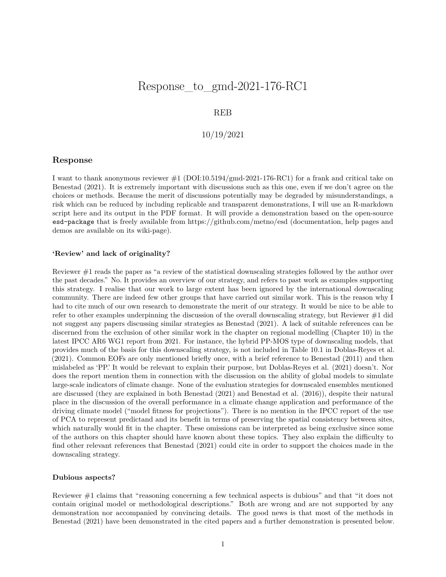# Response\_to\_gmd-2021-176-RC1

# REB

# 10/19/2021

# **Response**

I want to thank anonymous reviewer #1 [\(DOI:10.5194/gmd-2021-176-RC1\)](DOI:10.5194/gmd-2021-176-RC1) for a frank and critical take on Benestad (2021). It is extremely important with discussions such as this one, even if we don't agree on the choices or methods. Because the merit of discussions potentially may be degraded by misunderstandings, a risk which can be reduced by including replicable and transparent demonstrations, I will use an R-markdown script here and its output in the PDF format. It will provide a demonstration based on the open-source esd-package that is freely available from<https://github.com/metno/esd> (documentation, help pages and demos are available on its wiki-page).

#### **'Review' and lack of originality?**

Reviewer #1 reads the paper as "a review of the statistical downscaling strategies followed by the author over the past decades." No. It provides an overview of our strategy, and refers to past work as examples supporting this strategy. I realise that our work to large extent has been ignored by the international downscaling community. There are indeed few other groups that have carried out similar work. This is the reason why I had to cite much of our own research to demonstrate the merit of our strategy. It would be nice to be able to refer to other examples underpinning the discussion of the overall downscaling strategy, but Reviewer #1 did not suggest any papers discussing similar strategies as Benestad (2021). A lack of suitable references can be discerned from the exclusion of other similar work in the chapter on regional modelling (Chapter 10) in the latest IPCC AR6 WG1 report from 2021. For instance, the hybrid PP-MOS type of downscaling models, that provides much of the basis for this downscaling strategy, is not included in Table 10.1 in Doblas-Reyes et al. (2021). Common EOFs are only mentioned briefly once, with a brief reference to Benestad (2011) and then mislabeled as 'PP.' It would be relevant to explain their purpose, but Doblas-Reyes et al. (2021) doesn't. Nor does the report mention them in connection with the discussion on the ability of global models to simulate large-scale indicators of climate change. None of the evaluation strategies for downscaled ensembles mentioned are discussed (they are explained in both Benestad (2021) and Benestad et al. (2016)), despite their natural place in the discussion of the overall performance in a climate change application and performance of the driving climate model ("model fitness for projections"). There is no mention in the IPCC report of the use of PCA to represent predictand and its benefit in terms of preserving the spatial consistency between sites, which naturally would fit in the chapter. These omissions can be interpreted as being exclusive since some of the authors on this chapter should have known about these topics. They also explain the difficulty to find other relevant references that Benestad (2021) could cite in order to support the choices made in the downscaling strategy.

#### **Dubious aspects?**

Reviewer #1 claims that "reasoning concerning a few technical aspects is dubious" and that "it does not contain original model or methodological descriptions." Both are wrong and are not supported by any demonstration nor accompanied by convincing details. The good news is that most of the methods in Benestad (2021) have been demonstrated in the cited papers and a further demonstration is presented below.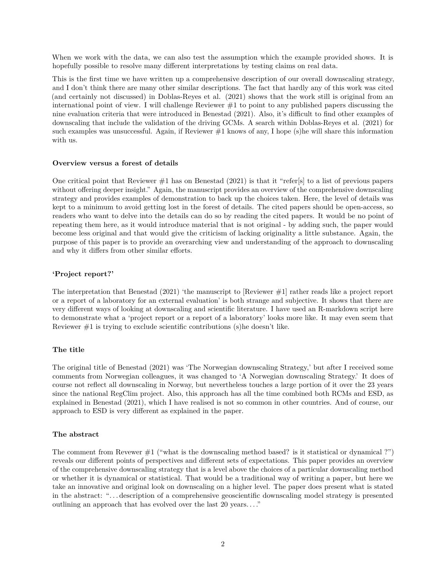When we work with the data, we can also test the assumption which the example provided shows. It is hopefully possible to resolve many different interpretations by testing claims on real data.

This is the first time we have written up a comprehensive description of our overall downscaling strategy, and I don't think there are many other similar descriptions. The fact that hardly any of this work was cited (and certainly not discussed) in Doblas-Reyes et al. (2021) shows that the work still is original from an international point of view. I will challenge Reviewer  $\#1$  to point to any published papers discussing the nine evaluation criteria that were introduced in Benestad (2021). Also, it's difficult to find other examples of downscaling that include the validation of the driving GCMs. A search within Doblas-Reyes et al. (2021) for such examples was unsuccessful. Again, if Reviewer  $#1$  knows of any, I hope (s)he will share this information with us.

#### **Overview versus a forest of details**

One critical point that Reviewer  $\#1$  has on Benestad (2021) is that it "refer[s] to a list of previous papers without offering deeper insight." Again, the manuscript provides an overview of the comprehensive downscaling strategy and provides examples of demonstration to back up the choices taken. Here, the level of details was kept to a minimum to avoid getting lost in the forest of details. The cited papers should be open-access, so readers who want to delve into the details can do so by reading the cited papers. It would be no point of repeating them here, as it would introduce material that is not original - by adding such, the paper would become less original and that would give the criticism of lacking originality a little substance. Again, the purpose of this paper is to provide an overarching view and understanding of the approach to downscaling and why it differs from other similar efforts.

#### **'Project report?'**

The interpretation that Benestad (2021) 'the manuscript to [Reviewer #1] rather reads like a project report or a report of a laboratory for an external evaluation' is both strange and subjective. It shows that there are very different ways of looking at downscaling and scientific literature. I have used an R-markdown script here to demonstrate what a 'project report or a report of a laboratory' looks more like. It may even seem that Reviewer #1 is trying to exclude scientific contributions (s)he doesn't like.

#### **The title**

The original title of Benestad (2021) was 'The Norwegian downscaling Strategy,' but after I received some comments from Norwegian colleagues, it was changed to 'A Norwegian downscaling Strategy.' It does of course not reflect all downscaling in Norway, but nevertheless touches a large portion of it over the 23 years since the national RegClim project. Also, this approach has all the time combined both RCMs and ESD, as explained in Benestad (2021), which I have realised is not so common in other countries. And of course, our approach to ESD is very different as explained in the paper.

#### **The abstract**

The comment from Revewer #1 ("what is the downscaling method based? is it statistical or dynamical ?") reveals our different points of perspectives and different sets of expectations. This paper provides an overview of the comprehensive downscaling strategy that is a level above the choices of a particular downscaling method or whether it is dynamical or statistical. That would be a traditional way of writing a paper, but here we take an innovative and original look on downscaling on a higher level. The paper does present what is stated in the abstract: ". . . description of a comprehensive geoscientific downscaling model strategy is presented outlining an approach that has evolved over the last 20 years. . . ."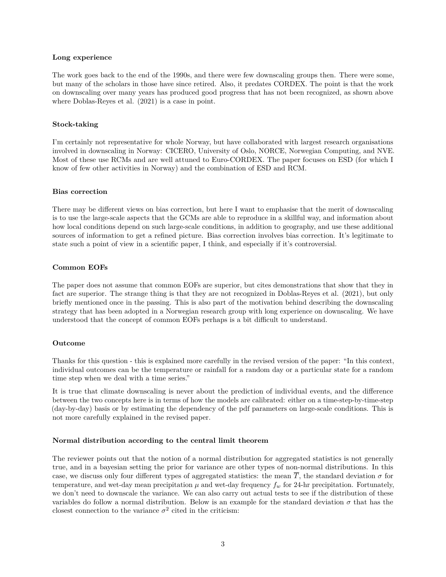#### **Long experience**

The work goes back to the end of the 1990s, and there were few downscaling groups then. There were some, but many of the scholars in those have since retired. Also, it predates CORDEX. The point is that the work on downscaling over many years has produced good progress that has not been recognized, as shown above where Doblas-Reyes et al. (2021) is a case in point.

### **Stock-taking**

I'm certainly not representative for whole Norway, but have collaborated with largest research organisations involved in downscaling in Norway: CICERO, University of Oslo, NORCE, Norwegian Computing, and NVE. Most of these use RCMs and are well attuned to Euro-CORDEX. The paper focuses on ESD (for which I know of few other activities in Norway) and the combination of ESD and RCM.

#### **Bias correction**

There may be different views on bias correction, but here I want to emphasise that the merit of downscaling is to use the large-scale aspects that the GCMs are able to reproduce in a skillful way, and information about how local conditions depend on such large-scale conditions, in addition to geography, and use these additional sources of information to get a refined picture. Bias correction involves bias correction. It's legitimate to state such a point of view in a scientific paper, I think, and especially if it's controversial.

#### **Common EOFs**

The paper does not assume that common EOFs are superior, but cites demonstrations that show that they in fact are superior. The strange thing is that they are not recognized in Doblas-Reyes et al. (2021), but only briefly mentioned once in the passing. This is also part of the motivation behind describing the downscaling strategy that has been adopted in a Norwegian research group with long experience on downscaling. We have understood that the concept of common EOFs perhaps is a bit difficult to understand.

# **Outcome**

Thanks for this question - this is explained more carefully in the revised version of the paper: "In this context, individual outcomes can be the temperature or rainfall for a random day or a particular state for a random time step when we deal with a time series."

It is true that climate downscaling is never about the prediction of individual events, and the difference between the two concepts here is in terms of how the models are calibrated: either on a time-step-by-time-step (day-by-day) basis or by estimating the dependency of the pdf parameters on large-scale conditions. This is not more carefully explained in the revised paper.

# **Normal distribution according to the central limit theorem**

The reviewer points out that the notion of a normal distribution for aggregated statistics is not generally true, and in a bayesian setting the prior for variance are other types of non-normal distributions. In this case, we discuss only four different types of aggregated statistics: the mean  $\overline{T}$ , the standard deviation  $\sigma$  for temperature, and wet-day mean precipitation  $\mu$  and wet-day frequency  $f_w$  for 24-hr precipitation. Fortunately, we don't need to downscale the variance. We can also carry out actual tests to see if the distribution of these variables do follow a normal distribution. Below is an example for the standard deviation  $\sigma$  that has the closest connection to the variance  $\sigma^2$  cited in the criticism: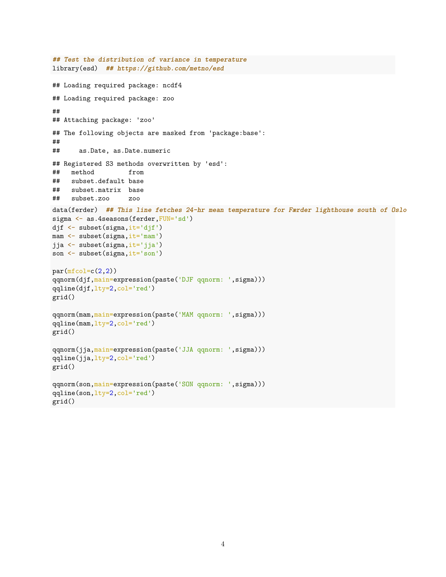```
## Test the distribution of variance in temperature
library(esd) ## https://github.com/metno/esd
## Loading required package: ncdf4
## Loading required package: zoo
##
## Attaching package: 'zoo'
## The following objects are masked from 'package:base':
##
## as.Date, as.Date.numeric
## Registered S3 methods overwritten by 'esd':
## method from
## subset.default base
## subset.matrix base
## subset.zoo zoo
data(ferder) ## This line fetches 24-hr mean temperature for Færder lighthouse south of Oslo
sigma <- as.4seasons(ferder,FUN='sd')
djf <- subset(sigma,it='djf')
mam <- subset(sigma, it='mam')
jja <- subset(sigma,it='jja')
son <- subset(sigma,it='son')
par(mfcol=c(2,2))qqnorm(djf,main=expression(paste('DJF qqnorm: ',sigma)))
qqline(djf,lty=2,col='red')
grid()
qqnorm(mam, main=expression(paste('MAM qqnorm: ', sigma)))
qqline(mam,lty=2,col='red')
grid()
qqnorm(jja,main=expression(paste('JJA qqnorm: ',sigma)))
qqline(jja,lty=2,col='red')
grid()
qqnorm(son,main=expression(paste('SON qqnorm: ',sigma)))
qqline(son,lty=2,col='red')
grid()
```
4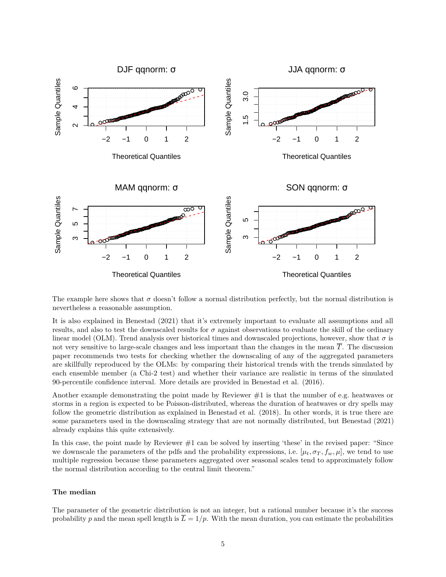

The example here shows that  $\sigma$  doesn't follow a normal distribution perfectly, but the normal distribution is nevertheless a reasonable assumption.

It is also explained in Benestad (2021) that it's extremely important to evaluate all assumptions and all results, and also to test the downscaled results for  $\sigma$  against observations to evaluate the skill of the ordinary linear model (OLM). Trend analysis over historical times and downscaled projections, however, show that  $\sigma$  is not very sensitive to large-scale changes and less important than the changes in the mean *T*. The discussion paper recommends two tests for checking whether the downscaling of any of the aggregated parameters are skillfully reproduced by the OLMs: by comparing their historical trends with the trends simulated by each ensemble member (a Chi-2 test) and whether their variance are realistic in terms of the simulated 90-percentile confidence interval. More details are provided in Benestad et al. (2016).

Another example demonstrating the point made by Reviewer  $\#1$  is that the number of e.g. heatwaves or storms in a region is expected to be Poisson-distributed, whereas the duration of heatwaves or dry spells may follow the geometric distribution as explained in Benestad et al. (2018). In other words, it is true there are some parameters used in the downscaling strategy that are not normally distributed, but Benestad (2021) already explains this quite extensively.

In this case, the point made by Reviewer  $#1$  can be solved by inserting 'these' in the revised paper: "Since we downscale the parameters of the pdfs and the probability expressions, i.e.  $[\mu_t, \sigma_T, f_w, \mu]$ , we tend to use multiple regression because these parameters aggregated over seasonal scales tend to approximately follow the normal distribution according to the central limit theorem."

#### **The median**

The parameter of the geometric distribution is not an integer, but a rational number because it's the success probability p and the mean spell length is  $\overline{L} = 1/p$ . With the mean duration, you can estimate the probabilities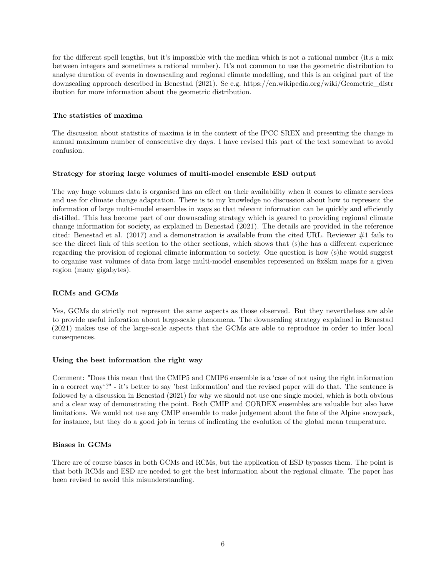for the different spell lengths, but it's impossible with the median which is not a rational number (it.s a mix between integers and sometimes a rational number). It's not common to use the geometric distribution to analyse duration of events in downscaling and regional climate modelling, and this is an original part of the downscaling approach described in Benestad (2021). Se e.g. [https://en.wikipedia.org/wiki/Geometric\\_distr](https://en.wikipedia.org/wiki/Geometric_distribution) [ibution](https://en.wikipedia.org/wiki/Geometric_distribution) for more information about the geometric distribution.

# **The statistics of maxima**

The discussion about statistics of maxima is in the context of the IPCC SREX and presenting the change in annual maximum number of consecutive dry days. I have revised this part of the text somewhat to avoid confusion.

# **Strategy for storing large volumes of multi-model ensemble ESD output**

The way huge volumes data is organised has an effect on their availability when it comes to climate services and use for climate change adaptation. There is to my knowledge no discussion about how to represent the information of large multi-model ensembles in ways so that relevant information can be quickly and efficiently distilled. This has become part of our downscaling strategy which is geared to providing regional climate change information for society, as explained in Benestad (2021). The details are provided in the reference cited: Benestad et al.  $(2017)$  and a demonstration is available from the cited URL. Reviewer  $\#1$  fails to see the direct link of this section to the other sections, which shows that (s)he has a different experience regarding the provision of regional climate information to society. One question is how (s)he would suggest to organise vast volumes of data from large multi-model ensembles represented on 8x8km maps for a given region (many gigabytes).

# **RCMs and GCMs**

Yes, GCMs do strictly not represent the same aspects as those observed. But they nevertheless are able to provide useful inforation about large-scale phenomena. The downscaling strategy explained in Benestad (2021) makes use of the large-scale aspects that the GCMs are able to reproduce in order to infer local consequences.

# **Using the best information the right way**

Comment: "Does this mean that the CMIP5 and CMIP6 ensemble is a 'case of not using the right information in a correct way'?" - it's better to say 'best information' and the revised paper will do that. The sentence is followed by a discussion in Benestad (2021) for why we should not use one single model, which is both obvious and a clear way of demonstrating the point. Both CMIP and CORDEX ensembles are valuable but also have limitations. We would not use any CMIP ensemble to make judgement about the fate of the Alpine snowpack, for instance, but they do a good job in terms of indicating the evolution of the global mean temperature.

# **Biases in GCMs**

There are of course biases in both GCMs and RCMs, but the application of ESD bypasses them. The point is that both RCMs and ESD are needed to get the best information about the regional climate. The paper has been revised to avoid this misunderstanding.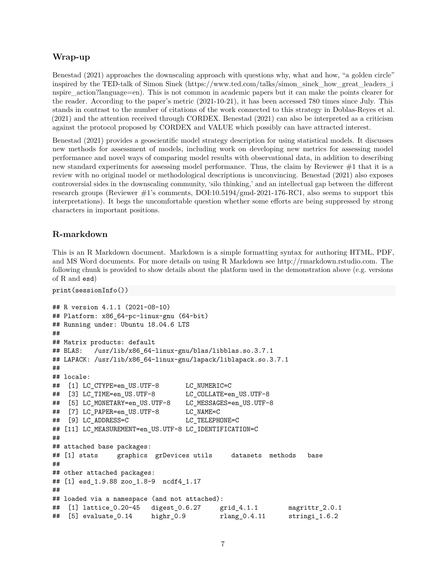# **Wrap-up**

Benestad (2021) approaches the downscaling approach with questions why, what and how, "a golden circle" inspired by the TED-talk of Simon Sinek [\(https://www.ted.com/talks/simon\\_sinek\\_how\\_great\\_leaders\\_i](https://www.ted.com/talks/simon_sinek_how_great_leaders_inspire_action?language=en) nspire action?language=en). This is not common in academic papers but it can make the points clearer for the reader. According to the paper's metric (2021-10-21), it has been accessed 780 times since July. This stands in contrast to the number of citations of the work connected to this strategy in Doblas-Reyes et al. (2021) and the attention received through CORDEX. Benestad (2021) can also be interpreted as a criticism against the protocol proposed by CORDEX and VALUE which possibly can have attracted interest.

Benestad (2021) provides a geoscientific model strategy description for using statistical models. It discusses new methods for assessment of models, including work on developing new metrics for assessing model performance and novel ways of comparing model results with observational data, in addition to describing new standard experiments for assessing model performance. Thus, the claim by Reviewer #1 that it is a review with no original model or methodological descriptions is unconvincing. Benestad (2021) also exposes controversial sides in the downscaling community, 'silo thinking,' and an intellectual gap between the different research groups (Reviewer #1's comments, [DOI:10.5194/gmd-2021-176-RC1,](DOI:10.5194/gmd-2021-176-RC1) also seems to support this interpretations). It begs the uncomfortable question whether some efforts are being suppressed by strong characters in important positions.

# **R-markdown**

This is an R Markdown document. Markdown is a simple formatting syntax for authoring HTML, PDF, and MS Word documents. For more details on using R Markdown see [http://rmarkdown.rstudio.com.](http://rmarkdown.rstudio.com) The following chunk is provided to show details about the platform used in the demonstration above (e.g. versions of R and esd)

print(sessionInfo())

```
## R version 4.1.1 (2021-08-10)
## Platform: x86_64-pc-linux-gnu (64-bit)
## Running under: Ubuntu 18.04.6 LTS
##
## Matrix products: default
## BLAS: /usr/lib/x86_64-linux-gnu/blas/libblas.so.3.7.1
## LAPACK: /usr/lib/x86_64-linux-gnu/lapack/liblapack.so.3.7.1
##
## locale:
## [1] LC CTYPE=en US.UTF-8 LC NUMERIC=C
## [3] LC_TIME=en_US.UTF-8 LC_COLLATE=en_US.UTF-8
## [5] LC_MONETARY=en_US.UTF-8 LC_MESSAGES=en_US.UTF-8
## [7] LC_PAPER=en_US.UTF-8 LC_NAME=C
## [9] LC_ADDRESS=C LC_TELEPHONE=C
## [11] LC_MEASUREMENT=en_US.UTF-8 LC_IDENTIFICATION=C
##
## attached base packages:
## [1] stats graphics grDevices utils datasets methods base
##
## other attached packages:
## [1] esd_1.9.88 zoo_1.8-9 ncdf4_1.17
##
## loaded via a namespace (and not attached):
## [1] lattice_0.20-45 digest_0.6.27 grid_4.1.1 magrittr_2.0.1
## [5] evaluate_0.14 highr_0.9 rlang_0.4.11 stringi_1.6.2
```